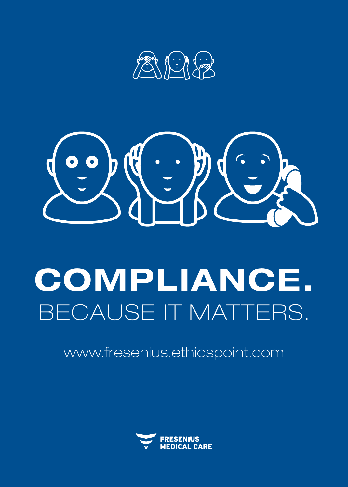



# COMPLIANCE. BECAUSE IT MATTERS.

www.fresenius.ethicspoint.com

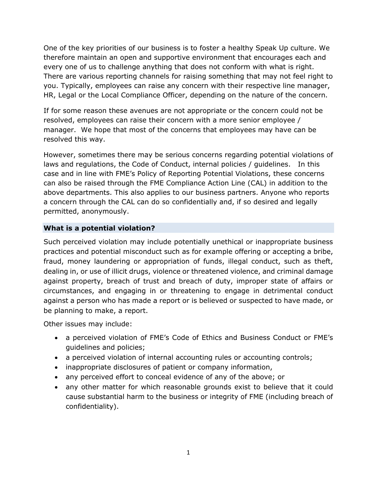One of the key priorities of our business is to foster a healthy Speak Up culture. We therefore maintain an open and supportive environment that encourages each and every one of us to challenge anything that does not conform with what is right. There are various reporting channels for raising something that may not feel right to you. Typically, employees can raise any concern with their respective line manager, HR, Legal or the Local Compliance Officer, depending on the nature of the concern.

If for some reason these avenues are not appropriate or the concern could not be resolved, employees can raise their concern with a more senior employee / manager. We hope that most of the concerns that employees may have can be resolved this way.

However, sometimes there may be serious concerns regarding potential violations of laws and regulations, the Code of Conduct, internal policies / guidelines. In this case and in line with FME's Policy of Reporting Potential Violations, these concerns can also be raised through the FME Compliance Action Line (CAL) in addition to the above departments. This also applies to our business partners. Anyone who reports a concern through the CAL can do so confidentially and, if so desired and legally permitted, anonymously.

## **What is a potential violation?**

Such perceived violation may include potentially unethical or inappropriate business practices and potential misconduct such as for example offering or accepting a bribe, fraud, money laundering or appropriation of funds, illegal conduct, such as theft, dealing in, or use of illicit drugs, violence or threatened violence, and criminal damage against property, breach of trust and breach of duty, improper state of affairs or circumstances, and engaging in or threatening to engage in detrimental conduct against a person who has made a report or is believed or suspected to have made, or be planning to make, a report.

Other issues may include:

- a perceived violation of FME's Code of Ethics and Business Conduct or FME's guidelines and policies;
- a perceived violation of internal accounting rules or accounting controls;
- inappropriate disclosures of patient or company information,
- any perceived effort to conceal evidence of any of the above; or
- any other matter for which reasonable grounds exist to believe that it could cause substantial harm to the business or integrity of FME (including breach of confidentiality).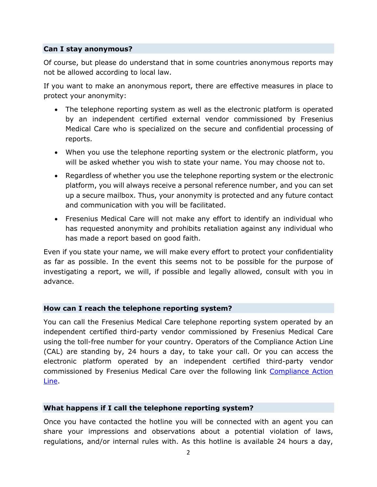### **Can I stay anonymous?**

Of course, but please do understand that in some countries anonymous reports may not be allowed according to local law.

If you want to make an anonymous report, there are effective measures in place to protect your anonymity:

- The telephone reporting system as well as the electronic platform is operated by an independent certified external vendor commissioned by Fresenius Medical Care who is specialized on the secure and confidential processing of reports.
- When you use the telephone reporting system or the electronic platform, you will be asked whether you wish to state your name. You may choose not to.
- Regardless of whether you use the telephone reporting system or the electronic platform, you will always receive a personal reference number, and you can set up a secure mailbox. Thus, your anonymity is protected and any future contact and communication with you will be facilitated.
- Fresenius Medical Care will not make any effort to identify an individual who has requested anonymity and prohibits retaliation against any individual who has made a report based on good faith.

Even if you state your name, we will make every effort to protect your confidentiality as far as possible. In the event this seems not to be possible for the purpose of investigating a report, we will, if possible and legally allowed, consult with you in advance.

### **How can I reach the telephone reporting system?**

You can call the Fresenius Medical Care telephone reporting system operated by an independent certified third-party vendor commissioned by Fresenius Medical Care using the toll-free number for your country. Operators of the Compliance Action Line (CAL) are standing by, 24 hours a day, to take your call. Or you can access the electronic platform operated by an independent certified third-party vendor commissioned by Fresenius Medical Care over the following link [Compliance Action](https://secure.ethicspoint.eu/domain/media/en/gui/102487/splash.html)  [Line.](https://secure.ethicspoint.eu/domain/media/en/gui/102487/splash.html)

### **What happens if I call the telephone reporting system?**

Once you have contacted the hotline you will be connected with an agent you can share your impressions and observations about a potential violation of laws, regulations, and/or internal rules with. As this hotline is available 24 hours a day,